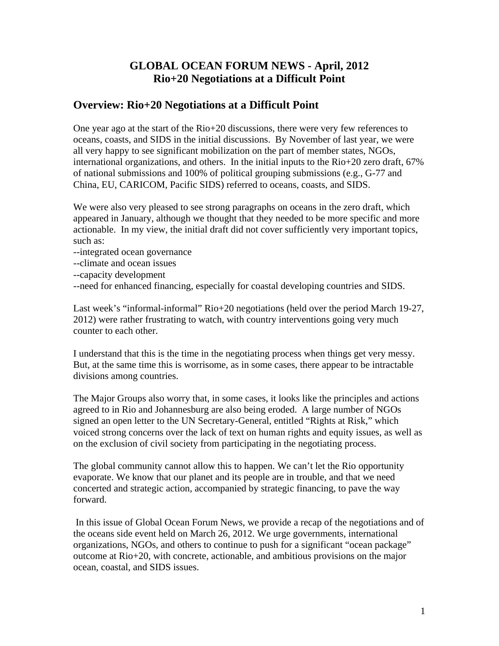# **GLOBAL OCEAN FORUM NEWS - April, 2012 Rio+20 Negotiations at a Difficult Point**

### **Overview: Rio+20 Negotiations at a Difficult Point**

One year ago at the start of the Rio+20 discussions, there were very few references to oceans, coasts, and SIDS in the initial discussions. By November of last year, we were all very happy to see significant mobilization on the part of member states, NGOs, international organizations, and others. In the initial inputs to the Rio+20 zero draft, 67% of national submissions and 100% of political grouping submissions (e.g., G-77 and China, EU, CARICOM, Pacific SIDS) referred to oceans, coasts, and SIDS.

We were also very pleased to see strong paragraphs on oceans in the zero draft, which appeared in January, although we thought that they needed to be more specific and more actionable. In my view, the initial draft did not cover sufficiently very important topics, such as:

--integrated ocean governance

--climate and ocean issues

--capacity development

--need for enhanced financing, especially for coastal developing countries and SIDS.

Last week's "informal-informal" Rio+20 negotiations (held over the period March 19-27, 2012) were rather frustrating to watch, with country interventions going very much counter to each other.

I understand that this is the time in the negotiating process when things get very messy. But, at the same time this is worrisome, as in some cases, there appear to be intractable divisions among countries.

The Major Groups also worry that, in some cases, it looks like the principles and actions agreed to in Rio and Johannesburg are also being eroded. A large number of NGOs signed an open letter to the UN Secretary-General, entitled "Rights at Risk," which voiced strong concerns over the lack of text on human rights and equity issues, as well as on the exclusion of civil society from participating in the negotiating process.

The global community cannot allow this to happen. We can't let the Rio opportunity evaporate. We know that our planet and its people are in trouble, and that we need concerted and strategic action, accompanied by strategic financing, to pave the way forward.

 In this issue of Global Ocean Forum News, we provide a recap of the negotiations and of the oceans side event held on March 26, 2012. We urge governments, international organizations, NGOs, and others to continue to push for a significant "ocean package" outcome at Rio+20, with concrete, actionable, and ambitious provisions on the major ocean, coastal, and SIDS issues.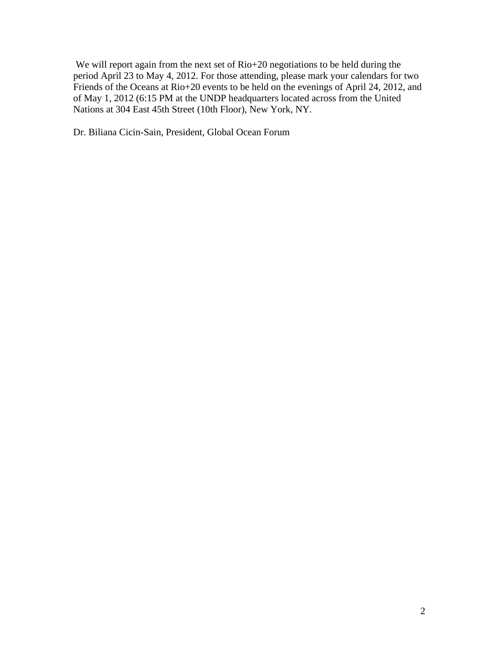We will report again from the next set of Rio+20 negotiations to be held during the period April 23 to May 4, 2012. For those attending, please mark your calendars for two Friends of the Oceans at Rio+20 events to be held on the evenings of April 24, 2012, and of May 1, 2012 (6:15 PM at the UNDP headquarters located across from the United Nations at 304 East 45th Street (10th Floor), New York, NY.

Dr. Biliana Cicin-Sain, President, Global Ocean Forum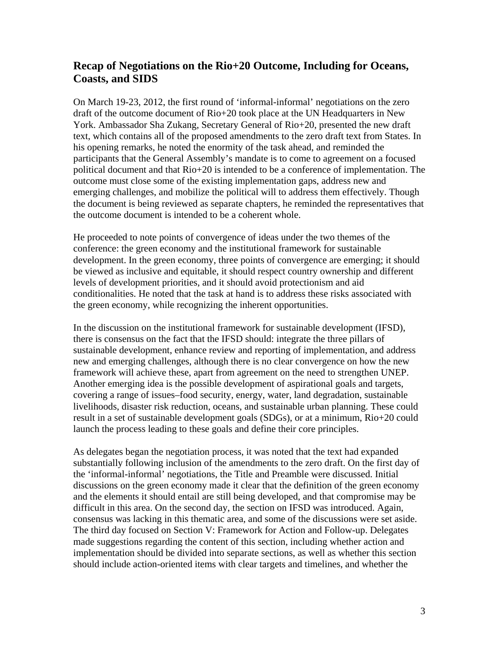# **Recap of Negotiations on the Rio+20 Outcome, Including for Oceans, Coasts, and SIDS**

On March 19-23, 2012, the first round of 'informal-informal' negotiations on the zero draft of the outcome document of Rio+20 took place at the UN Headquarters in New York. Ambassador Sha Zukang, Secretary General of Rio+20, presented the new draft text, which contains all of the proposed amendments to the zero draft text from States. In his opening remarks, he noted the enormity of the task ahead, and reminded the participants that the General Assembly's mandate is to come to agreement on a focused political document and that Rio+20 is intended to be a conference of implementation. The outcome must close some of the existing implementation gaps, address new and emerging challenges, and mobilize the political will to address them effectively. Though the document is being reviewed as separate chapters, he reminded the representatives that the outcome document is intended to be a coherent whole.

He proceeded to note points of convergence of ideas under the two themes of the conference: the green economy and the institutional framework for sustainable development. In the green economy, three points of convergence are emerging; it should be viewed as inclusive and equitable, it should respect country ownership and different levels of development priorities, and it should avoid protectionism and aid conditionalities. He noted that the task at hand is to address these risks associated with the green economy, while recognizing the inherent opportunities.

In the discussion on the institutional framework for sustainable development (IFSD), there is consensus on the fact that the IFSD should: integrate the three pillars of sustainable development, enhance review and reporting of implementation, and address new and emerging challenges, although there is no clear convergence on how the new framework will achieve these, apart from agreement on the need to strengthen UNEP. Another emerging idea is the possible development of aspirational goals and targets, covering a range of issues–food security, energy, water, land degradation, sustainable livelihoods, disaster risk reduction, oceans, and sustainable urban planning. These could result in a set of sustainable development goals (SDGs), or at a minimum, Rio+20 could launch the process leading to these goals and define their core principles.

As delegates began the negotiation process, it was noted that the text had expanded substantially following inclusion of the amendments to the zero draft. On the first day of the 'informal-informal' negotiations, the Title and Preamble were discussed. Initial discussions on the green economy made it clear that the definition of the green economy and the elements it should entail are still being developed, and that compromise may be difficult in this area. On the second day, the section on IFSD was introduced. Again, consensus was lacking in this thematic area, and some of the discussions were set aside. The third day focused on Section V: Framework for Action and Follow-up. Delegates made suggestions regarding the content of this section, including whether action and implementation should be divided into separate sections, as well as whether this section should include action-oriented items with clear targets and timelines, and whether the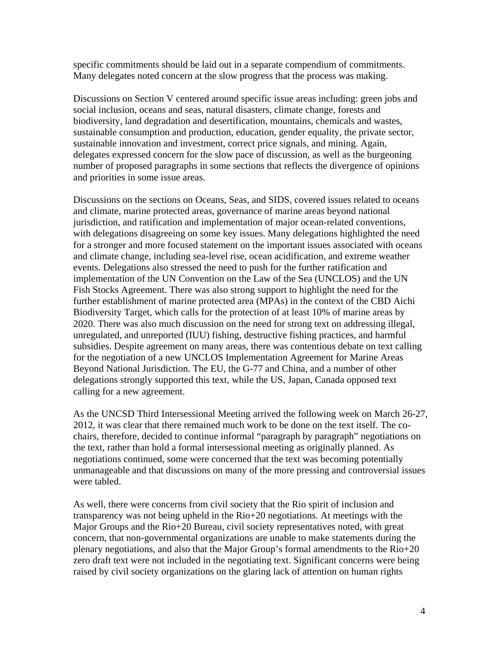specific commitments should be laid out in a separate compendium of commitments. Many delegates noted concern at the slow progress that the process was making.

Discussions on Section V centered around specific issue areas including: green jobs and social inclusion, oceans and seas, natural disasters, climate change, forests and biodiversity, land degradation and desertification, mountains, chemicals and wastes, sustainable consumption and production, education, gender equality, the private sector, sustainable innovation and investment, correct price signals, and mining. Again, delegates expressed concern for the slow pace of discussion, as well as the burgeoning number of proposed paragraphs in some sections that reflects the divergence of opinions and priorities in some issue areas.

Discussions on the sections on Oceans, Seas, and SIDS, covered issues related to oceans and climate, marine protected areas, governance of marine areas beyond national jurisdiction, and ratification and implementation of major ocean-related conventions, with delegations disagreeing on some key issues. Many delegations highlighted the need for a stronger and more focused statement on the important issues associated with oceans and climate change, including sea-level rise, ocean acidification, and extreme weather events. Delegations also stressed the need to push for the further ratification and implementation of the UN Convention on the Law of the Sea (UNCLOS) and the UN Fish Stocks Agreement. There was also strong support to highlight the need for the further establishment of marine protected area (MPAs) in the context of the CBD Aichi Biodiversity Target, which calls for the protection of at least 10% of marine areas by 2020. There was also much discussion on the need for strong text on addressing illegal, unregulated, and unreported (IUU) fishing, destructive fishing practices, and harmful subsidies. Despite agreement on many areas, there was contentious debate on text calling for the negotiation of a new UNCLOS Implementation Agreement for Marine Areas Beyond National Jurisdiction. The EU, the G-77 and China, and a number of other delegations strongly supported this text, while the US, Japan, Canada opposed text calling for a new agreement.

As the UNCSD Third Intersessional Meeting arrived the following week on March 26-27, 2012, it was clear that there remained much work to be done on the text itself. The cochairs, therefore, decided to continue informal "paragraph by paragraph" negotiations on the text, rather than hold a formal intersessional meeting as originally planned. As negotiations continued, some were concerned that the text was becoming potentially unmanageable and that discussions on many of the more pressing and controversial issues were tabled.

As well, there were concerns from civil society that the Rio spirit of inclusion and transparency was not being upheld in the Rio+20 negotiations. At meetings with the Major Groups and the Rio+20 Bureau, civil society representatives noted, with great concern, that non-governmental organizations are unable to make statements during the plenary negotiations, and also that the Major Group's formal amendments to the Rio+20 zero draft text were not included in the negotiating text. Significant concerns were being raised by civil society organizations on the glaring lack of attention on human rights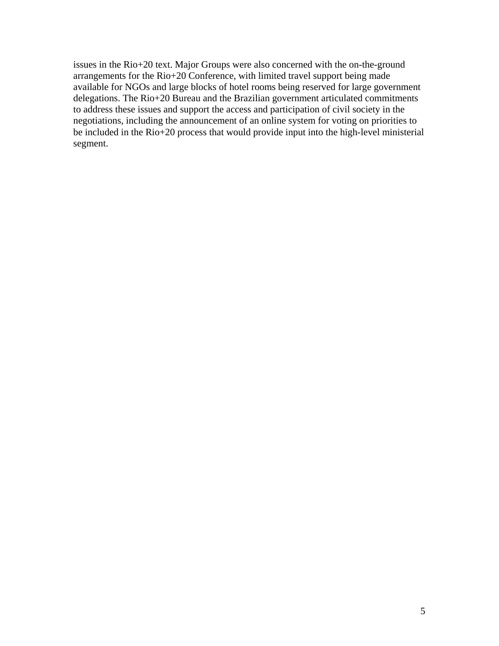issues in the Rio+20 text. Major Groups were also concerned with the on-the-ground arrangements for the Rio+20 Conference, with limited travel support being made available for NGOs and large blocks of hotel rooms being reserved for large government delegations. The Rio+20 Bureau and the Brazilian government articulated commitments to address these issues and support the access and participation of civil society in the negotiations, including the announcement of an online system for voting on priorities to be included in the Rio+20 process that would provide input into the high-level ministerial segment.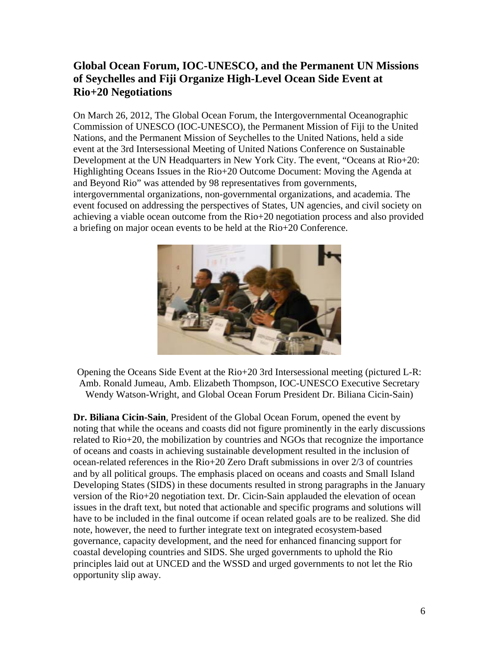# **Global Ocean Forum, IOC-UNESCO, and the Permanent UN Missions of Seychelles and Fiji Organize High-Level Ocean Side Event at Rio+20 Negotiations**

On March 26, 2012, The Global Ocean Forum, the Intergovernmental Oceanographic Commission of UNESCO (IOC-UNESCO), the Permanent Mission of Fiji to the United Nations, and the Permanent Mission of Seychelles to the United Nations, held a side event at the 3rd Intersessional Meeting of United Nations Conference on Sustainable Development at the UN Headquarters in New York City. The event, "Oceans at Rio+20: Highlighting Oceans Issues in the Rio+20 Outcome Document: Moving the Agenda at and Beyond Rio" was attended by 98 representatives from governments, intergovernmental organizations, non-governmental organizations, and academia. The event focused on addressing the perspectives of States, UN agencies, and civil society on achieving a viable ocean outcome from the Rio+20 negotiation process and also provided a briefing on major ocean events to be held at the Rio+20 Conference.



Opening the Oceans Side Event at the Rio+20 3rd Intersessional meeting (pictured L-R: Amb. Ronald Jumeau, Amb. Elizabeth Thompson, IOC-UNESCO Executive Secretary Wendy Watson-Wright, and Global Ocean Forum President Dr. Biliana Cicin-Sain)

**Dr. Biliana Cicin-Sain**, President of the Global Ocean Forum, opened the event by noting that while the oceans and coasts did not figure prominently in the early discussions related to Rio+20, the mobilization by countries and NGOs that recognize the importance of oceans and coasts in achieving sustainable development resulted in the inclusion of ocean-related references in the Rio+20 Zero Draft submissions in over 2/3 of countries and by all political groups. The emphasis placed on oceans and coasts and Small Island Developing States (SIDS) in these documents resulted in strong paragraphs in the January version of the Rio+20 negotiation text. Dr. Cicin-Sain applauded the elevation of ocean issues in the draft text, but noted that actionable and specific programs and solutions will have to be included in the final outcome if ocean related goals are to be realized. She did note, however, the need to further integrate text on integrated ecosystem-based governance, capacity development, and the need for enhanced financing support for coastal developing countries and SIDS. She urged governments to uphold the Rio principles laid out at UNCED and the WSSD and urged governments to not let the Rio opportunity slip away.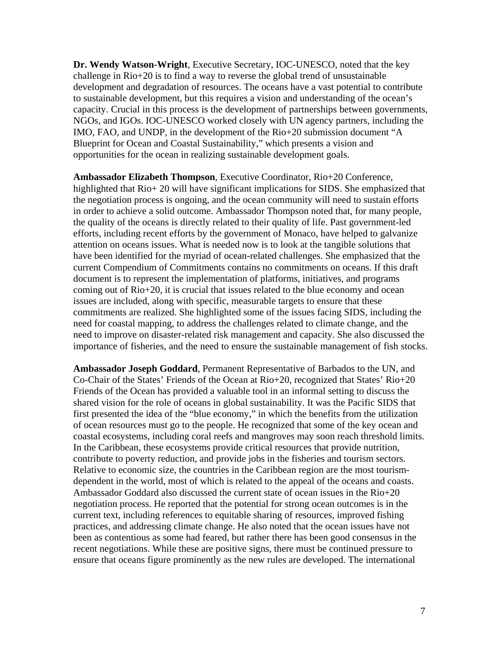**Dr. Wendy Watson-Wright**, Executive Secretary, IOC-UNESCO, noted that the key challenge in Rio+20 is to find a way to reverse the global trend of unsustainable development and degradation of resources. The oceans have a vast potential to contribute to sustainable development, but this requires a vision and understanding of the ocean's capacity. Crucial in this process is the development of partnerships between governments, NGOs, and IGOs. IOC-UNESCO worked closely with UN agency partners, including the IMO, FAO, and UNDP, in the development of the Rio+20 submission document "A Blueprint for Ocean and Coastal Sustainability," which presents a vision and opportunities for the ocean in realizing sustainable development goals.

**Ambassador Elizabeth Thompson**, Executive Coordinator, Rio+20 Conference, highlighted that Rio+ 20 will have significant implications for SIDS. She emphasized that the negotiation process is ongoing, and the ocean community will need to sustain efforts in order to achieve a solid outcome. Ambassador Thompson noted that, for many people, the quality of the oceans is directly related to their quality of life. Past government-led efforts, including recent efforts by the government of Monaco, have helped to galvanize attention on oceans issues. What is needed now is to look at the tangible solutions that have been identified for the myriad of ocean-related challenges. She emphasized that the current Compendium of Commitments contains no commitments on oceans. If this draft document is to represent the implementation of platforms, initiatives, and programs coming out of Rio+20, it is crucial that issues related to the blue economy and ocean issues are included, along with specific, measurable targets to ensure that these commitments are realized. She highlighted some of the issues facing SIDS, including the need for coastal mapping, to address the challenges related to climate change, and the need to improve on disaster-related risk management and capacity. She also discussed the importance of fisheries, and the need to ensure the sustainable management of fish stocks.

**Ambassador Joseph Goddard**, Permanent Representative of Barbados to the UN, and Co-Chair of the States' Friends of the Ocean at Rio+20, recognized that States' Rio+20 Friends of the Ocean has provided a valuable tool in an informal setting to discuss the shared vision for the role of oceans in global sustainability. It was the Pacific SIDS that first presented the idea of the "blue economy," in which the benefits from the utilization of ocean resources must go to the people. He recognized that some of the key ocean and coastal ecosystems, including coral reefs and mangroves may soon reach threshold limits. In the Caribbean, these ecosystems provide critical resources that provide nutrition, contribute to poverty reduction, and provide jobs in the fisheries and tourism sectors. Relative to economic size, the countries in the Caribbean region are the most tourismdependent in the world, most of which is related to the appeal of the oceans and coasts. Ambassador Goddard also discussed the current state of ocean issues in the Rio+20 negotiation process. He reported that the potential for strong ocean outcomes is in the current text, including references to equitable sharing of resources, improved fishing practices, and addressing climate change. He also noted that the ocean issues have not been as contentious as some had feared, but rather there has been good consensus in the recent negotiations. While these are positive signs, there must be continued pressure to ensure that oceans figure prominently as the new rules are developed. The international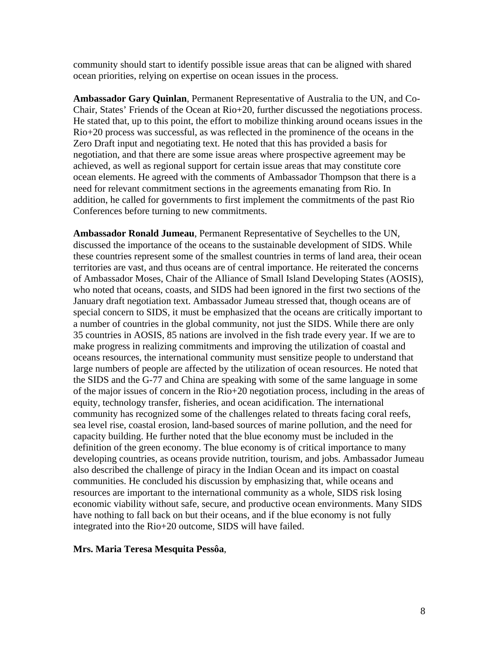community should start to identify possible issue areas that can be aligned with shared ocean priorities, relying on expertise on ocean issues in the process.

**Ambassador Gary Quinlan**, Permanent Representative of Australia to the UN, and Co-Chair, States' Friends of the Ocean at Rio+20, further discussed the negotiations process. He stated that, up to this point, the effort to mobilize thinking around oceans issues in the Rio+20 process was successful, as was reflected in the prominence of the oceans in the Zero Draft input and negotiating text. He noted that this has provided a basis for negotiation, and that there are some issue areas where prospective agreement may be achieved, as well as regional support for certain issue areas that may constitute core ocean elements. He agreed with the comments of Ambassador Thompson that there is a need for relevant commitment sections in the agreements emanating from Rio. In addition, he called for governments to first implement the commitments of the past Rio Conferences before turning to new commitments.

**Ambassador Ronald Jumeau**, Permanent Representative of Seychelles to the UN, discussed the importance of the oceans to the sustainable development of SIDS. While these countries represent some of the smallest countries in terms of land area, their ocean territories are vast, and thus oceans are of central importance. He reiterated the concerns of Ambassador Moses, Chair of the Alliance of Small Island Developing States (AOSIS), who noted that oceans, coasts, and SIDS had been ignored in the first two sections of the January draft negotiation text. Ambassador Jumeau stressed that, though oceans are of special concern to SIDS, it must be emphasized that the oceans are critically important to a number of countries in the global community, not just the SIDS. While there are only 35 countries in AOSIS, 85 nations are involved in the fish trade every year. If we are to make progress in realizing commitments and improving the utilization of coastal and oceans resources, the international community must sensitize people to understand that large numbers of people are affected by the utilization of ocean resources. He noted that the SIDS and the G-77 and China are speaking with some of the same language in some of the major issues of concern in the Rio+20 negotiation process, including in the areas of equity, technology transfer, fisheries, and ocean acidification. The international community has recognized some of the challenges related to threats facing coral reefs, sea level rise, coastal erosion, land-based sources of marine pollution, and the need for capacity building. He further noted that the blue economy must be included in the definition of the green economy. The blue economy is of critical importance to many developing countries, as oceans provide nutrition, tourism, and jobs. Ambassador Jumeau also described the challenge of piracy in the Indian Ocean and its impact on coastal communities. He concluded his discussion by emphasizing that, while oceans and resources are important to the international community as a whole, SIDS risk losing economic viability without safe, secure, and productive ocean environments. Many SIDS have nothing to fall back on but their oceans, and if the blue economy is not fully integrated into the Rio+20 outcome, SIDS will have failed.

#### **Mrs. Maria Teresa Mesquita Pessôa**,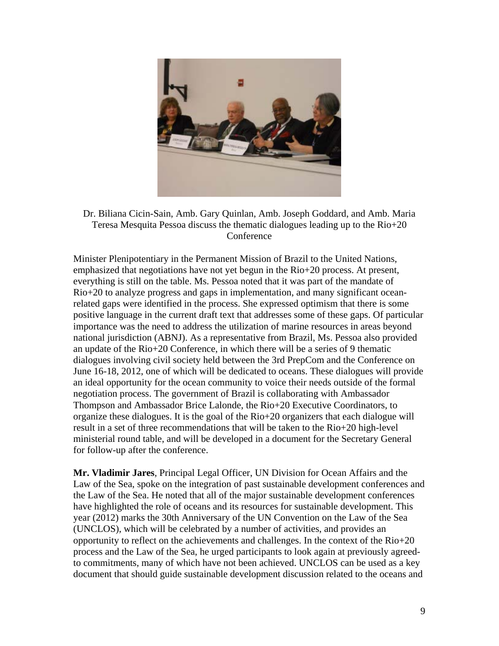

Dr. Biliana Cicin-Sain, Amb. Gary Quinlan, Amb. Joseph Goddard, and Amb. Maria Teresa Mesquita Pessoa discuss the thematic dialogues leading up to the Rio+20 Conference

Minister Plenipotentiary in the Permanent Mission of Brazil to the United Nations, emphasized that negotiations have not yet begun in the Rio+20 process. At present, everything is still on the table. Ms. Pessoa noted that it was part of the mandate of Rio+20 to analyze progress and gaps in implementation, and many significant oceanrelated gaps were identified in the process. She expressed optimism that there is some positive language in the current draft text that addresses some of these gaps. Of particular importance was the need to address the utilization of marine resources in areas beyond national jurisdiction (ABNJ). As a representative from Brazil, Ms. Pessoa also provided an update of the Rio+20 Conference, in which there will be a series of 9 thematic dialogues involving civil society held between the 3rd PrepCom and the Conference on June 16-18, 2012, one of which will be dedicated to oceans. These dialogues will provide an ideal opportunity for the ocean community to voice their needs outside of the formal negotiation process. The government of Brazil is collaborating with Ambassador Thompson and Ambassador Brice Lalonde, the Rio+20 Executive Coordinators, to organize these dialogues. It is the goal of the Rio+20 organizers that each dialogue will result in a set of three recommendations that will be taken to the Rio+20 high-level ministerial round table, and will be developed in a document for the Secretary General for follow-up after the conference.

**Mr. Vladimir Jares**, Principal Legal Officer, UN Division for Ocean Affairs and the Law of the Sea, spoke on the integration of past sustainable development conferences and the Law of the Sea. He noted that all of the major sustainable development conferences have highlighted the role of oceans and its resources for sustainable development. This year (2012) marks the 30th Anniversary of the UN Convention on the Law of the Sea (UNCLOS), which will be celebrated by a number of activities, and provides an opportunity to reflect on the achievements and challenges. In the context of the Rio+20 process and the Law of the Sea, he urged participants to look again at previously agreedto commitments, many of which have not been achieved. UNCLOS can be used as a key document that should guide sustainable development discussion related to the oceans and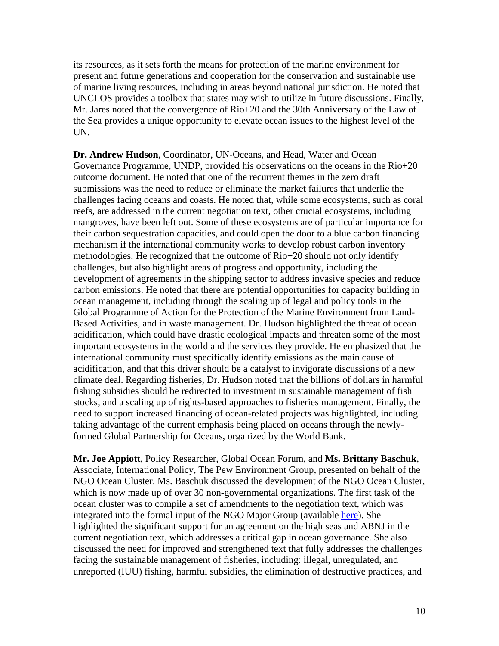its resources, as it sets forth the means for protection of the marine environment for present and future generations and cooperation for the conservation and sustainable use of marine living resources, including in areas beyond national jurisdiction. He noted that UNCLOS provides a toolbox that states may wish to utilize in future discussions. Finally, Mr. Jares noted that the convergence of Rio+20 and the 30th Anniversary of the Law of the Sea provides a unique opportunity to elevate ocean issues to the highest level of the UN.

**Dr. Andrew Hudson**, Coordinator, UN-Oceans, and Head, Water and Ocean Governance Programme, UNDP, provided his observations on the oceans in the Rio+20 outcome document. He noted that one of the recurrent themes in the zero draft submissions was the need to reduce or eliminate the market failures that underlie the challenges facing oceans and coasts. He noted that, while some ecosystems, such as coral reefs, are addressed in the current negotiation text, other crucial ecosystems, including mangroves, have been left out. Some of these ecosystems are of particular importance for their carbon sequestration capacities, and could open the door to a blue carbon financing mechanism if the international community works to develop robust carbon inventory methodologies. He recognized that the outcome of Rio+20 should not only identify challenges, but also highlight areas of progress and opportunity, including the development of agreements in the shipping sector to address invasive species and reduce carbon emissions. He noted that there are potential opportunities for capacity building in ocean management, including through the scaling up of legal and policy tools in the Global Programme of Action for the Protection of the Marine Environment from Land-Based Activities, and in waste management. Dr. Hudson highlighted the threat of ocean acidification, which could have drastic ecological impacts and threaten some of the most important ecosystems in the world and the services they provide. He emphasized that the international community must specifically identify emissions as the main cause of acidification, and that this driver should be a catalyst to invigorate discussions of a new climate deal. Regarding fisheries, Dr. Hudson noted that the billions of dollars in harmful fishing subsidies should be redirected to investment in sustainable management of fish stocks, and a scaling up of rights-based approaches to fisheries management. Finally, the need to support increased financing of ocean-related projects was highlighted, including taking advantage of the current emphasis being placed on oceans through the newlyformed Global Partnership for Oceans, organized by the World Bank.

**Mr. Joe Appiott**, Policy Researcher, Global Ocean Forum, and **Ms. Brittany Baschuk**, Associate, International Policy, The Pew Environment Group, presented on behalf of the NGO Ocean Cluster. Ms. Baschuk discussed the development of the NGO Ocean Cluster, which is now made up of over 30 non-governmental organizations. The first task of the ocean cluster was to compile a set of amendments to the negotiation text, which was integrated into the formal input of the NGO Major Group (available here). She highlighted the significant support for an agreement on the high seas and ABNJ in the current negotiation text, which addresses a critical gap in ocean governance. She also discussed the need for improved and strengthened text that fully addresses the challenges facing the sustainable management of fisheries, including: illegal, unregulated, and unreported (IUU) fishing, harmful subsidies, the elimination of destructive practices, and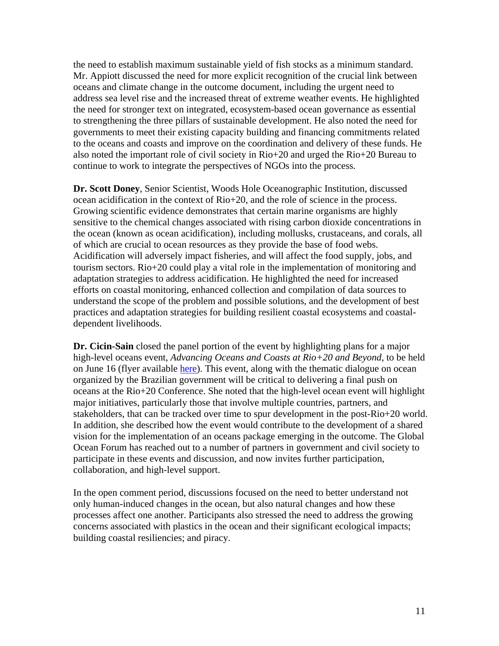the need to establish maximum sustainable yield of fish stocks as a minimum standard. Mr. Appiott discussed the need for more explicit recognition of the crucial link between oceans and climate change in the outcome document, including the urgent need to address sea level rise and the increased threat of extreme weather events. He highlighted the need for stronger text on integrated, ecosystem-based ocean governance as essential to strengthening the three pillars of sustainable development. He also noted the need for governments to meet their existing capacity building and financing commitments related to the oceans and coasts and improve on the coordination and delivery of these funds. He also noted the important role of civil society in Rio+20 and urged the Rio+20 Bureau to continue to work to integrate the perspectives of NGOs into the process.

**Dr. Scott Doney**, Senior Scientist, Woods Hole Oceanographic Institution, discussed ocean acidification in the context of Rio+20, and the role of science in the process. Growing scientific evidence demonstrates that certain marine organisms are highly sensitive to the chemical changes associated with rising carbon dioxide concentrations in the ocean (known as ocean acidification), including mollusks, crustaceans, and corals, all of which are crucial to ocean resources as they provide the base of food webs. Acidification will adversely impact fisheries, and will affect the food supply, jobs, and tourism sectors. Rio+20 could play a vital role in the implementation of monitoring and adaptation strategies to address acidification. He highlighted the need for increased efforts on coastal monitoring, enhanced collection and compilation of data sources to understand the scope of the problem and possible solutions, and the development of best practices and adaptation strategies for building resilient coastal ecosystems and coastaldependent livelihoods.

**Dr. Cicin-Sain** closed the panel portion of the event by highlighting plans for a major high-level oceans event, *Advancing Oceans and Coasts at Rio+20 and Beyond*, to be held on June 16 (flyer available here). This event, along with the thematic dialogue on ocean organized by the Brazilian government will be critical to delivering a final push on oceans at the Rio+20 Conference. She noted that the high-level ocean event will highlight major initiatives, particularly those that involve multiple countries, partners, and stakeholders, that can be tracked over time to spur development in the post-Rio+20 world. In addition, she described how the event would contribute to the development of a shared vision for the implementation of an oceans package emerging in the outcome. The Global Ocean Forum has reached out to a number of partners in government and civil society to participate in these events and discussion, and now invites further participation, collaboration, and high-level support.

In the open comment period, discussions focused on the need to better understand not only human-induced changes in the ocean, but also natural changes and how these processes affect one another. Participants also stressed the need to address the growing concerns associated with plastics in the ocean and their significant ecological impacts; building coastal resiliencies; and piracy.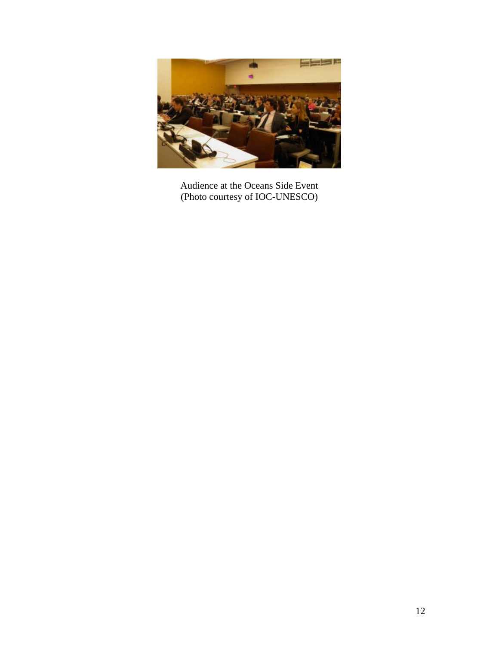

Audience at the Oceans Side Event (Photo courtesy of IOC-UNESCO)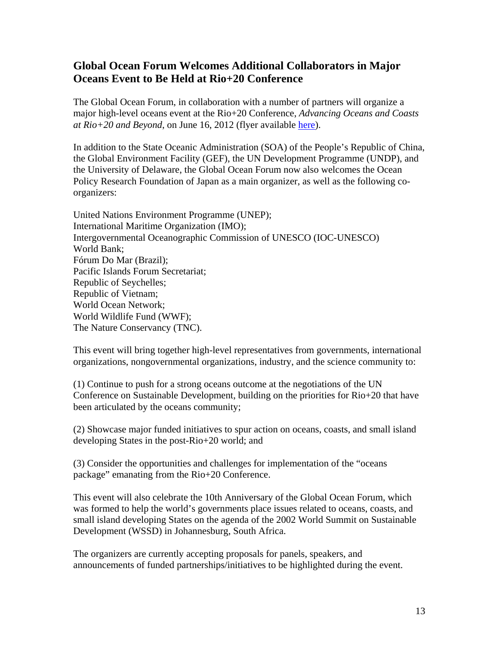# **Global Ocean Forum Welcomes Additional Collaborators in Major Oceans Event to Be Held at Rio+20 Conference**

The Global Ocean Forum, in collaboration with a number of partners will organize a major high-level oceans event at the Rio+20 Conference, *Advancing Oceans and Coasts at Rio+20 and Beyond*, on June 16, 2012 (flyer available here).

In addition to the State Oceanic Administration (SOA) of the People's Republic of China, the Global Environment Facility (GEF), the UN Development Programme (UNDP), and the University of Delaware, the Global Ocean Forum now also welcomes the Ocean Policy Research Foundation of Japan as a main organizer, as well as the following coorganizers:

United Nations Environment Programme (UNEP); International Maritime Organization (IMO); Intergovernmental Oceanographic Commission of UNESCO (IOC-UNESCO) World Bank; Fórum Do Mar (Brazil); Pacific Islands Forum Secretariat; Republic of Seychelles; Republic of Vietnam; World Ocean Network; World Wildlife Fund (WWF); The Nature Conservancy (TNC).

This event will bring together high-level representatives from governments, international organizations, nongovernmental organizations, industry, and the science community to:

(1) Continue to push for a strong oceans outcome at the negotiations of the UN Conference on Sustainable Development, building on the priorities for Rio+20 that have been articulated by the oceans community;

(2) Showcase major funded initiatives to spur action on oceans, coasts, and small island developing States in the post-Rio+20 world; and

(3) Consider the opportunities and challenges for implementation of the "oceans package" emanating from the Rio+20 Conference.

This event will also celebrate the 10th Anniversary of the Global Ocean Forum, which was formed to help the world's governments place issues related to oceans, coasts, and small island developing States on the agenda of the 2002 World Summit on Sustainable Development (WSSD) in Johannesburg, South Africa.

The organizers are currently accepting proposals for panels, speakers, and announcements of funded partnerships/initiatives to be highlighted during the event.